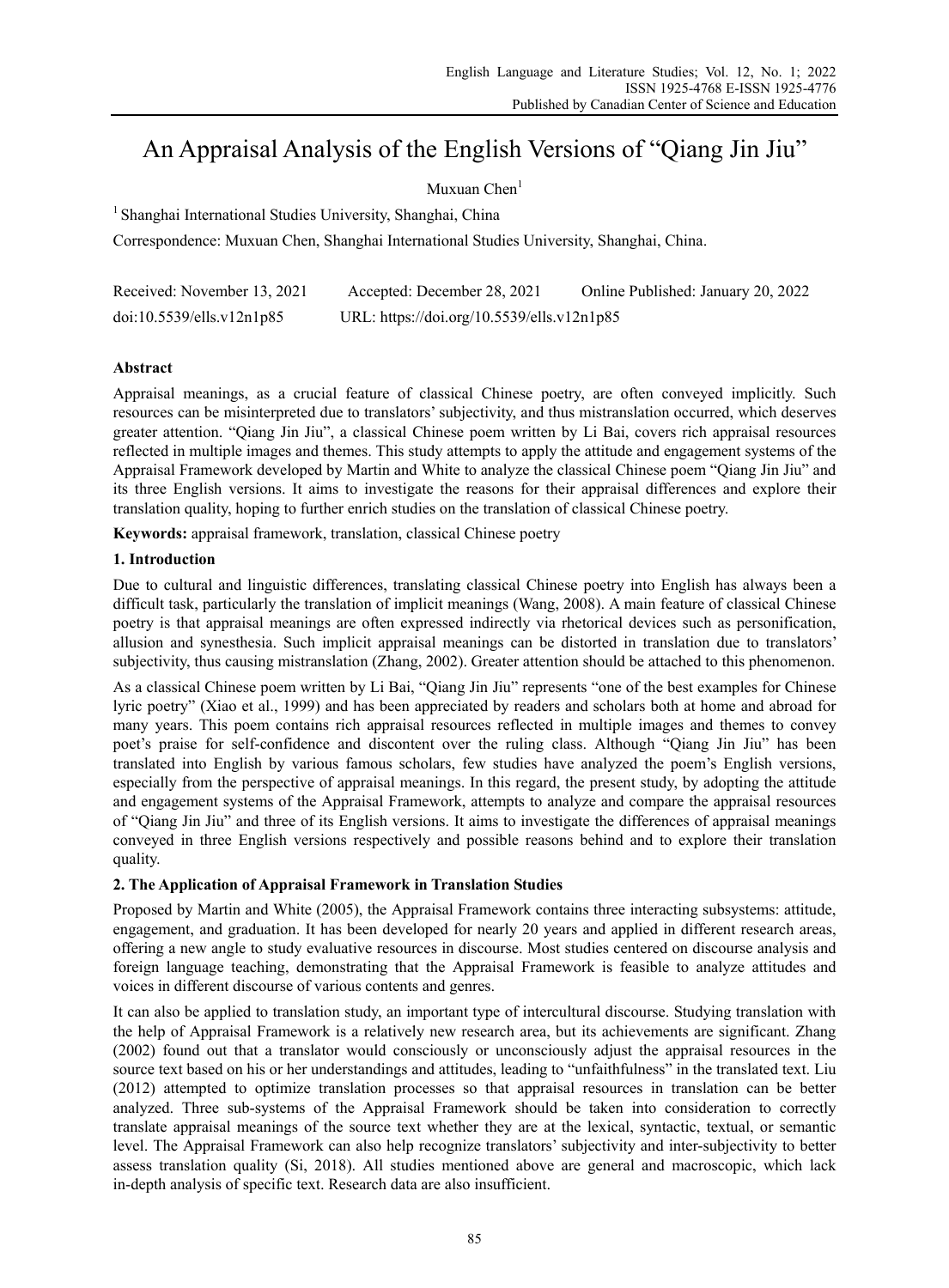# An Appraisal Analysis of the English Versions of "Qiang Jin Jiu"

## Muxuan  $Chen<sup>1</sup>$

<sup>1</sup> Shanghai International Studies University, Shanghai, China

Correspondence: Muxuan Chen, Shanghai International Studies University, Shanghai, China.

| Received: November 13, 2021 | Accepted: December 28, 2021                | Online Published: January 20, 2022 |
|-----------------------------|--------------------------------------------|------------------------------------|
| doi:10.5539/ells.v12n1p85   | URL: https://doi.org/10.5539/ells.v12n1p85 |                                    |

## **Abstract**

Appraisal meanings, as a crucial feature of classical Chinese poetry, are often conveyed implicitly. Such resources can be misinterpreted due to translators' subjectivity, and thus mistranslation occurred, which deserves greater attention. "Qiang Jin Jiu", a classical Chinese poem written by Li Bai, covers rich appraisal resources reflected in multiple images and themes. This study attempts to apply the attitude and engagement systems of the Appraisal Framework developed by Martin and White to analyze the classical Chinese poem "Qiang Jin Jiu" and its three English versions. It aims to investigate the reasons for their appraisal differences and explore their translation quality, hoping to further enrich studies on the translation of classical Chinese poetry.

**Keywords:** appraisal framework, translation, classical Chinese poetry

## **1. Introduction**

Due to cultural and linguistic differences, translating classical Chinese poetry into English has always been a difficult task, particularly the translation of implicit meanings (Wang, 2008). A main feature of classical Chinese poetry is that appraisal meanings are often expressed indirectly via rhetorical devices such as personification, allusion and synesthesia. Such implicit appraisal meanings can be distorted in translation due to translators' subjectivity, thus causing mistranslation (Zhang, 2002). Greater attention should be attached to this phenomenon.

As a classical Chinese poem written by Li Bai, "Qiang Jin Jiu" represents "one of the best examples for Chinese lyric poetry" (Xiao et al., 1999) and has been appreciated by readers and scholars both at home and abroad for many years. This poem contains rich appraisal resources reflected in multiple images and themes to convey poet's praise for self-confidence and discontent over the ruling class. Although "Qiang Jin Jiu" has been translated into English by various famous scholars, few studies have analyzed the poem's English versions, especially from the perspective of appraisal meanings. In this regard, the present study, by adopting the attitude and engagement systems of the Appraisal Framework, attempts to analyze and compare the appraisal resources of "Qiang Jin Jiu" and three of its English versions. It aims to investigate the differences of appraisal meanings conveyed in three English versions respectively and possible reasons behind and to explore their translation quality.

## **2. The Application of Appraisal Framework in Translation Studies**

Proposed by Martin and White (2005), the Appraisal Framework contains three interacting subsystems: attitude, engagement, and graduation. It has been developed for nearly 20 years and applied in different research areas, offering a new angle to study evaluative resources in discourse. Most studies centered on discourse analysis and foreign language teaching, demonstrating that the Appraisal Framework is feasible to analyze attitudes and voices in different discourse of various contents and genres.

It can also be applied to translation study, an important type of intercultural discourse. Studying translation with the help of Appraisal Framework is a relatively new research area, but its achievements are significant. Zhang (2002) found out that a translator would consciously or unconsciously adjust the appraisal resources in the source text based on his or her understandings and attitudes, leading to "unfaithfulness" in the translated text. Liu (2012) attempted to optimize translation processes so that appraisal resources in translation can be better analyzed. Three sub-systems of the Appraisal Framework should be taken into consideration to correctly translate appraisal meanings of the source text whether they are at the lexical, syntactic, textual, or semantic level. The Appraisal Framework can also help recognize translators' subjectivity and inter-subjectivity to better assess translation quality (Si, 2018). All studies mentioned above are general and macroscopic, which lack in-depth analysis of specific text. Research data are also insufficient.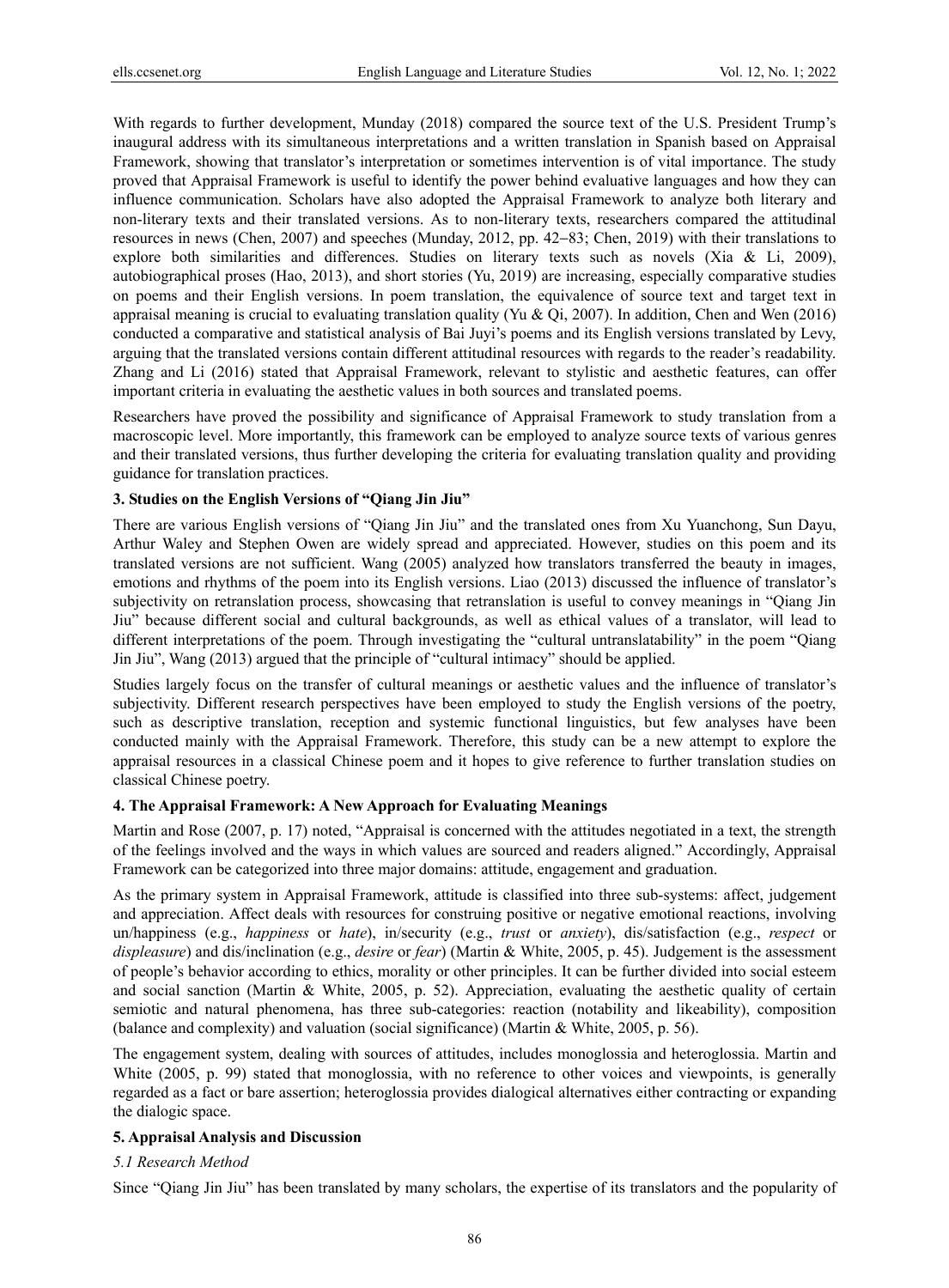With regards to further development, Munday (2018) compared the source text of the U.S. President Trump's inaugural address with its simultaneous interpretations and a written translation in Spanish based on Appraisal Framework, showing that translator's interpretation or sometimes intervention is of vital importance. The study proved that Appraisal Framework is useful to identify the power behind evaluative languages and how they can influence communication. Scholars have also adopted the Appraisal Framework to analyze both literary and non-literary texts and their translated versions. As to non-literary texts, researchers compared the attitudinal resources in news (Chen, 2007) and speeches (Munday, 2012, pp. 42−83; Chen, 2019) with their translations to explore both similarities and differences. Studies on literary texts such as novels (Xia & Li, 2009), autobiographical proses (Hao, 2013), and short stories (Yu, 2019) are increasing, especially comparative studies on poems and their English versions. In poem translation, the equivalence of source text and target text in appraisal meaning is crucial to evaluating translation quality (Yu & Qi, 2007). In addition, Chen and Wen (2016) conducted a comparative and statistical analysis of Bai Juyi's poems and its English versions translated by Levy, arguing that the translated versions contain different attitudinal resources with regards to the reader's readability. Zhang and Li (2016) stated that Appraisal Framework, relevant to stylistic and aesthetic features, can offer important criteria in evaluating the aesthetic values in both sources and translated poems.

Researchers have proved the possibility and significance of Appraisal Framework to study translation from a macroscopic level. More importantly, this framework can be employed to analyze source texts of various genres and their translated versions, thus further developing the criteria for evaluating translation quality and providing guidance for translation practices.

## **3. Studies on the English Versions of "Qiang Jin Jiu"**

There are various English versions of "Qiang Jin Jiu" and the translated ones from Xu Yuanchong, Sun Dayu, Arthur Waley and Stephen Owen are widely spread and appreciated. However, studies on this poem and its translated versions are not sufficient. Wang (2005) analyzed how translators transferred the beauty in images, emotions and rhythms of the poem into its English versions. Liao (2013) discussed the influence of translator's subjectivity on retranslation process, showcasing that retranslation is useful to convey meanings in "Qiang Jin Jiu" because different social and cultural backgrounds, as well as ethical values of a translator, will lead to different interpretations of the poem. Through investigating the "cultural untranslatability" in the poem "Qiang Jin Jiu", Wang (2013) argued that the principle of "cultural intimacy" should be applied.

Studies largely focus on the transfer of cultural meanings or aesthetic values and the influence of translator's subjectivity. Different research perspectives have been employed to study the English versions of the poetry, such as descriptive translation, reception and systemic functional linguistics, but few analyses have been conducted mainly with the Appraisal Framework. Therefore, this study can be a new attempt to explore the appraisal resources in a classical Chinese poem and it hopes to give reference to further translation studies on classical Chinese poetry.

## **4. The Appraisal Framework: A New Approach for Evaluating Meanings**

Martin and Rose (2007, p. 17) noted, "Appraisal is concerned with the attitudes negotiated in a text, the strength of the feelings involved and the ways in which values are sourced and readers aligned." Accordingly, Appraisal Framework can be categorized into three major domains: attitude, engagement and graduation.

As the primary system in Appraisal Framework, attitude is classified into three sub-systems: affect, judgement and appreciation. Affect deals with resources for construing positive or negative emotional reactions, involving un/happiness (e.g., *happiness* or *hate*), in/security (e.g., *trust* or *anxiety*), dis/satisfaction (e.g., *respect* or *displeasure*) and dis/inclination (e.g., *desire* or *fear*) (Martin & White, 2005, p. 45). Judgement is the assessment of people's behavior according to ethics, morality or other principles. It can be further divided into social esteem and social sanction (Martin & White, 2005, p. 52). Appreciation, evaluating the aesthetic quality of certain semiotic and natural phenomena, has three sub-categories: reaction (notability and likeability), composition (balance and complexity) and valuation (social significance) (Martin & White, 2005, p. 56).

The engagement system, dealing with sources of attitudes, includes monoglossia and heteroglossia. Martin and White (2005, p. 99) stated that monoglossia, with no reference to other voices and viewpoints, is generally regarded as a fact or bare assertion; heteroglossia provides dialogical alternatives either contracting or expanding the dialogic space.

## **5. Appraisal Analysis and Discussion**

## *5.1 Research Method*

Since "Qiang Jin Jiu" has been translated by many scholars, the expertise of its translators and the popularity of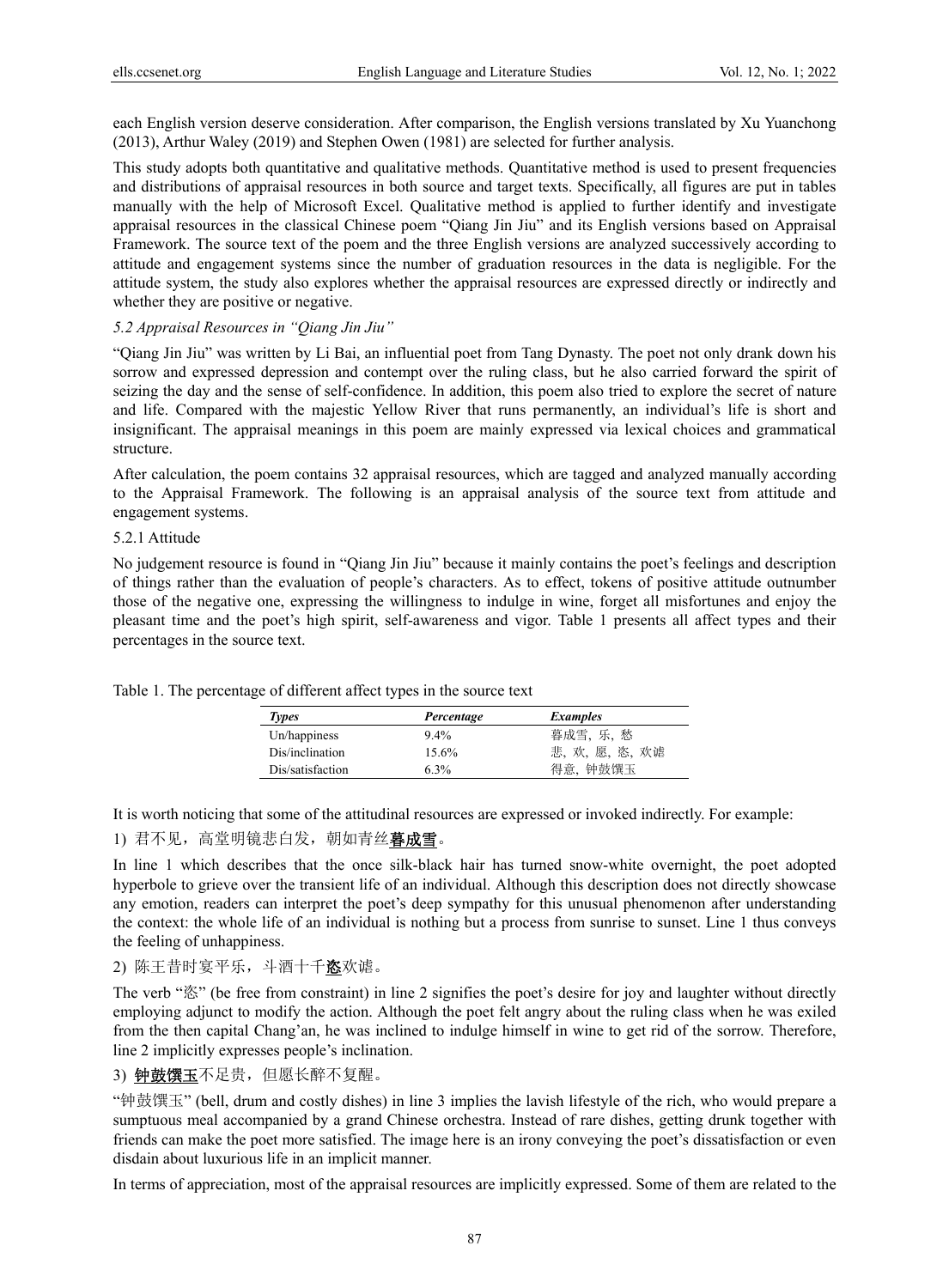each English version deserve consideration. After comparison, the English versions translated by Xu Yuanchong (2013), Arthur Waley (2019) and Stephen Owen (1981) are selected for further analysis.

This study adopts both quantitative and qualitative methods. Quantitative method is used to present frequencies and distributions of appraisal resources in both source and target texts. Specifically, all figures are put in tables manually with the help of Microsoft Excel. Qualitative method is applied to further identify and investigate appraisal resources in the classical Chinese poem "Qiang Jin Jiu" and its English versions based on Appraisal Framework. The source text of the poem and the three English versions are analyzed successively according to attitude and engagement systems since the number of graduation resources in the data is negligible. For the attitude system, the study also explores whether the appraisal resources are expressed directly or indirectly and whether they are positive or negative.

# *5.2 Appraisal Resources in "Qiang Jin Jiu"*

"Qiang Jin Jiu" was written by Li Bai, an influential poet from Tang Dynasty. The poet not only drank down his sorrow and expressed depression and contempt over the ruling class, but he also carried forward the spirit of seizing the day and the sense of self-confidence. In addition, this poem also tried to explore the secret of nature and life. Compared with the majestic Yellow River that runs permanently, an individual's life is short and insignificant. The appraisal meanings in this poem are mainly expressed via lexical choices and grammatical structure.

After calculation, the poem contains 32 appraisal resources, which are tagged and analyzed manually according to the Appraisal Framework. The following is an appraisal analysis of the source text from attitude and engagement systems.

#### 5.2.1 Attitude

No judgement resource is found in "Qiang Jin Jiu" because it mainly contains the poet's feelings and description of things rather than the evaluation of people's characters. As to effect, tokens of positive attitude outnumber those of the negative one, expressing the willingness to indulge in wine, forget all misfortunes and enjoy the pleasant time and the poet's high spirit, self-awareness and vigor. Table 1 presents all affect types and their percentages in the source text.

| Types            | Percentage | <i>Examples</i> |
|------------------|------------|-----------------|
| Un/happiness     | $9.4\%$    | 暮成雪, 乐, 愁       |
| Dis/inclination  | 15.6%      | 悲, 欢, 愿, 恣, 欢谑  |
| Dis/satisfaction | 6.3%       | 得意、钟鼓馔玉         |

Table 1. The percentage of different affect types in the source text

It is worth noticing that some of the attitudinal resources are expressed or invoked indirectly. For example:

# 1) 君不见, 高堂明镜悲白发, 朝如青丝暮成雪。

In line 1 which describes that the once silk-black hair has turned snow-white overnight, the poet adopted hyperbole to grieve over the transient life of an individual. Although this description does not directly showcase any emotion, readers can interpret the poet's deep sympathy for this unusual phenomenon after understanding the context: the whole life of an individual is nothing but a process from sunrise to sunset. Line 1 thus conveys the feeling of unhappiness.

2) 陈王昔时宴平乐,斗酒十千恣欢谑。

The verb "恣" (be free from constraint) in line 2 signifies the poet's desire for joy and laughter without directly employing adjunct to modify the action. Although the poet felt angry about the ruling class when he was exiled from the then capital Chang'an, he was inclined to indulge himself in wine to get rid of the sorrow. Therefore, line 2 implicitly expresses people's inclination.

3) 钟鼓馔玉不足贵,但愿长醉不复醒。

"钟鼓馔玉" (bell, drum and costly dishes) in line 3 implies the lavish lifestyle of the rich, who would prepare a sumptuous meal accompanied by a grand Chinese orchestra. Instead of rare dishes, getting drunk together with friends can make the poet more satisfied. The image here is an irony conveying the poet's dissatisfaction or even disdain about luxurious life in an implicit manner.

In terms of appreciation, most of the appraisal resources are implicitly expressed. Some of them are related to the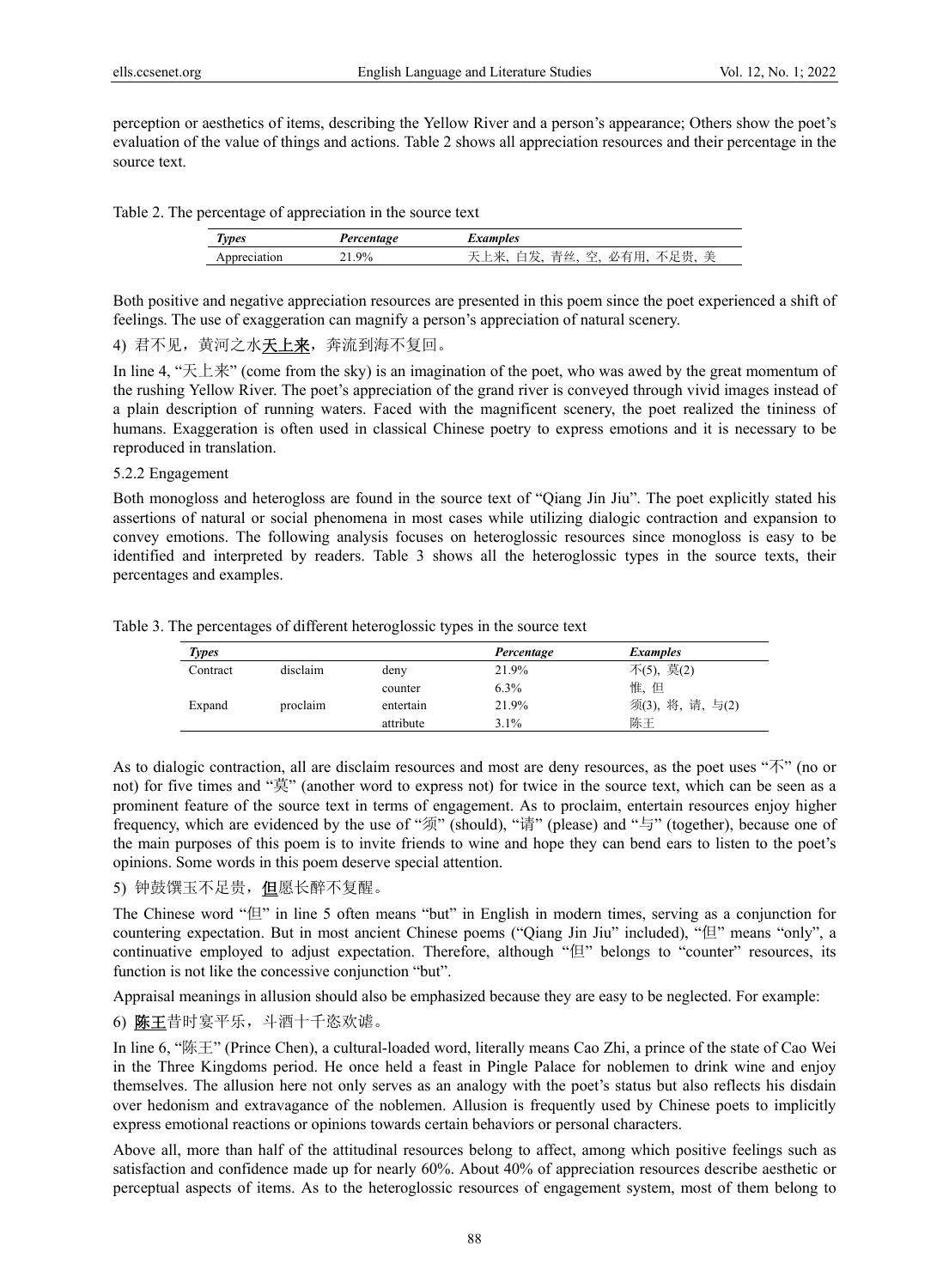perception or aesthetics of items, describing the Yellow River and a person's appearance; Others show the poet's evaluation of the value of things and actions. Table 2 shows all appreciation resources and their percentage in the source text.

Table 2. The percentage of appreciation in the source text

| <b>Types</b> | Percentage | examples                                                                            |
|--------------|------------|-------------------------------------------------------------------------------------|
|              | $1.9\%$    | 羊<br>兮<br>青丝<br>昆豊<br>ジ<br>$\mathcal{M}$<br>甲<br>ルハ目<br>ے<br>$\lambda$<br>- 14<br>— |

Both positive and negative appreciation resources are presented in this poem since the poet experienced a shift of feelings. The use of exaggeration can magnify a person's appreciation of natural scenery.

4) 君不见,黄河之水天上来,奔流到海不复回。

In line 4, "天上来" (come from the sky) is an imagination of the poet, who was awed by the great momentum of the rushing Yellow River. The poet's appreciation of the grand river is conveyed through vivid images instead of a plain description of running waters. Faced with the magnificent scenery, the poet realized the tininess of humans. Exaggeration is often used in classical Chinese poetry to express emotions and it is necessary to be reproduced in translation.

## 5.2.2 Engagement

Both monogloss and heterogloss are found in the source text of "Qiang Jin Jiu". The poet explicitly stated his assertions of natural or social phenomena in most cases while utilizing dialogic contraction and expansion to convey emotions. The following analysis focuses on heteroglossic resources since monogloss is easy to be identified and interpreted by readers. Table 3 shows all the heteroglossic types in the source texts, their percentages and examples.

| Table 3. The percentages of different heteroglossic types in the source text |
|------------------------------------------------------------------------------|
|------------------------------------------------------------------------------|

| <b>Types</b> |          |           | Percentage | <i>Examples</i>  |
|--------------|----------|-----------|------------|------------------|
| Contract     | disclaim | deny      | 21.9%      | 不(5), 莫(2)       |
|              |          | counter   | $6.3\%$    | 惟、但              |
| Expand       | proclaim | entertain | 21.9%      | 须(3), 将, 请, 与(2) |
|              |          | attribute | 3.1%       | 陈王               |

As to dialogic contraction, all are disclaim resources and most are deny resources, as the poet uses " $\bar{\gamma}$ " (no or not) for five times and "莫" (another word to express not) for twice in the source text, which can be seen as a prominent feature of the source text in terms of engagement. As to proclaim, entertain resources enjoy higher frequency, which are evidenced by the use of "须" (should), "请" (please) and "与" (together), because one of the main purposes of this poem is to invite friends to wine and hope they can bend ears to listen to the poet's opinions. Some words in this poem deserve special attention.

## 5) 钟鼓馔玉不足贵, 但愿长醉不复醒。

The Chinese word "但" in line 5 often means "but" in English in modern times, serving as a conjunction for countering expectation. But in most ancient Chinese poems ("Oiang Jin Jiu" included), "但" means "only", a continuative employed to adjust expectation. Therefore, although "但" belongs to "counter" resources, its function is not like the concessive conjunction "but".

Appraisal meanings in allusion should also be emphasized because they are easy to be neglected. For example:

6) 陈王昔时宴平乐,斗酒十千恣欢谑。

In line 6, "陈王" (Prince Chen), a cultural-loaded word, literally means Cao Zhi, a prince of the state of Cao Wei in the Three Kingdoms period. He once held a feast in Pingle Palace for noblemen to drink wine and enjoy themselves. The allusion here not only serves as an analogy with the poet's status but also reflects his disdain over hedonism and extravagance of the noblemen. Allusion is frequently used by Chinese poets to implicitly express emotional reactions or opinions towards certain behaviors or personal characters.

Above all, more than half of the attitudinal resources belong to affect, among which positive feelings such as satisfaction and confidence made up for nearly 60%. About 40% of appreciation resources describe aesthetic or perceptual aspects of items. As to the heteroglossic resources of engagement system, most of them belong to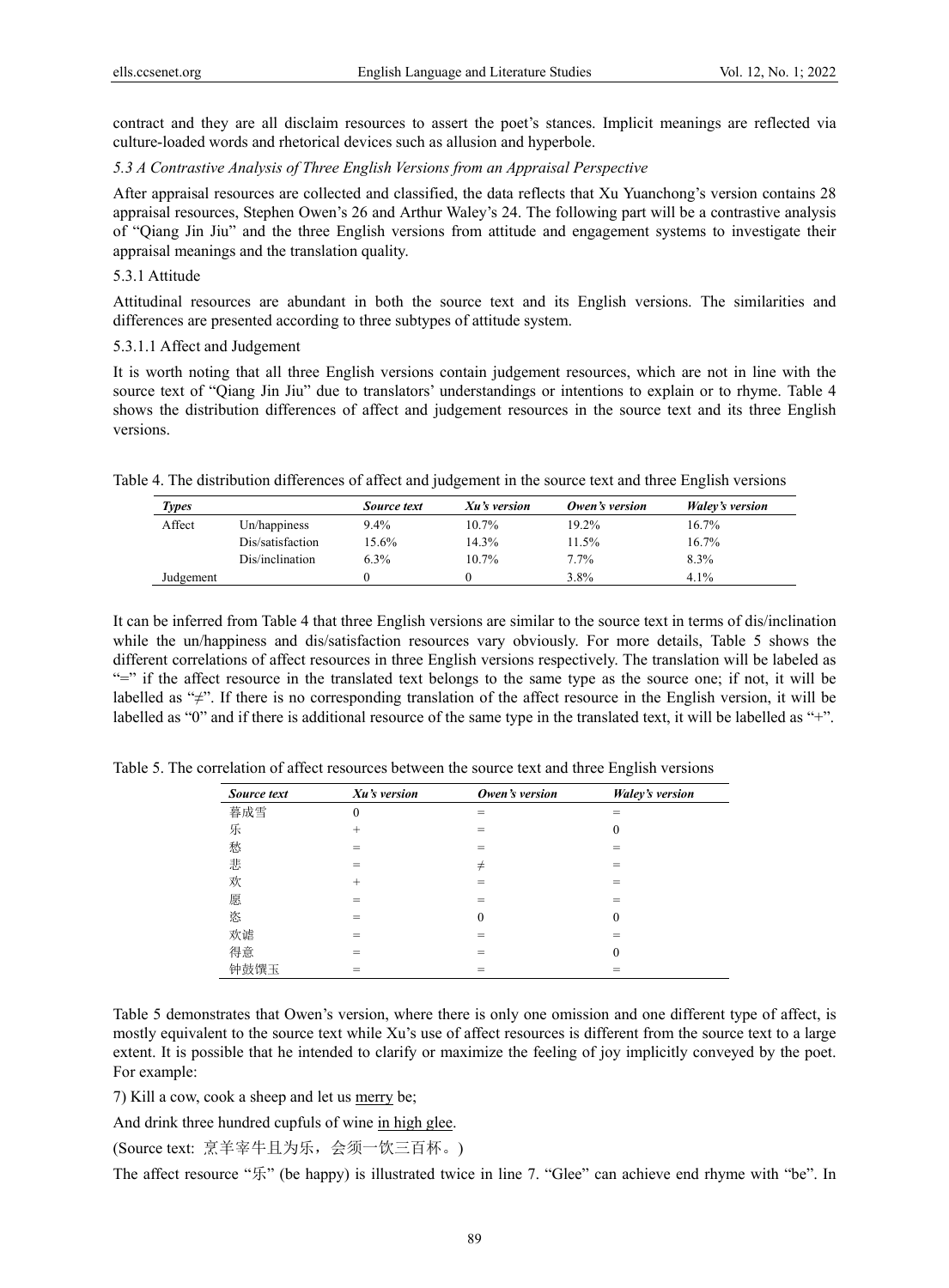contract and they are all disclaim resources to assert the poet's stances. Implicit meanings are reflected via culture-loaded words and rhetorical devices such as allusion and hyperbole.

*5.3 A Contrastive Analysis of Three English Versions from an Appraisal Perspective* 

After appraisal resources are collected and classified, the data reflects that Xu Yuanchong's version contains 28 appraisal resources, Stephen Owen's 26 and Arthur Waley's 24. The following part will be a contrastive analysis of "Qiang Jin Jiu" and the three English versions from attitude and engagement systems to investigate their appraisal meanings and the translation quality.

## 5.3.1 Attitude

Attitudinal resources are abundant in both the source text and its English versions. The similarities and differences are presented according to three subtypes of attitude system.

## 5.3.1.1 Affect and Judgement

It is worth noting that all three English versions contain judgement resources, which are not in line with the source text of "Qiang Jin Jiu" due to translators' understandings or intentions to explain or to rhyme. Table 4 shows the distribution differences of affect and judgement resources in the source text and its three English versions.

| Table 4. The distribution differences of affect and judgement in the source text and three English versions |  |  |  |
|-------------------------------------------------------------------------------------------------------------|--|--|--|
|                                                                                                             |  |  |  |

| Types     |                  | Source text | Xu's version | Owen's version | <i>Waley's version</i> |
|-----------|------------------|-------------|--------------|----------------|------------------------|
| Affect    | Un/happiness     | 9.4%        | 10.7%        | 19.2%          | 16.7%                  |
|           | Dis/satisfaction | 15.6%       | 14.3%        | 11.5%          | 16.7%                  |
|           | Dis/inclination  | 6.3%        | $10.7\%$     | $7.7\%$        | 8.3%                   |
| Judgement |                  |             |              | 3.8%           | 4.1%                   |

It can be inferred from Table 4 that three English versions are similar to the source text in terms of dis/inclination while the un/happiness and dis/satisfaction resources vary obviously. For more details, Table 5 shows the different correlations of affect resources in three English versions respectively. The translation will be labeled as "=" if the affect resource in the translated text belongs to the same type as the source one; if not, it will be labelled as "≠". If there is no corresponding translation of the affect resource in the English version, it will be labelled as "0" and if there is additional resource of the same type in the translated text, it will be labelled as "+".

| Source text | Xu's version     | Owen's version | <b>Waley's version</b> |
|-------------|------------------|----------------|------------------------|
| 暮成雪         | $\boldsymbol{0}$ | =              | =                      |
| 乐           | $^{+}$           |                | $\theta$               |
| 愁           | =                | =              |                        |
| 悲           | =                | $\neq$         | =                      |
| 欢           | $^{+}$           | $=$            | =                      |
| 愿           |                  |                |                        |
| 恣           | =                | $\theta$       | 0                      |
| 欢谑          |                  |                |                        |
| 得意          | =                | $=$            | $\theta$               |
| 钟鼓馔玉        |                  |                |                        |

Table 5. The correlation of affect resources between the source text and three English versions

Table 5 demonstrates that Owen's version, where there is only one omission and one different type of affect, is mostly equivalent to the source text while Xu's use of affect resources is different from the source text to a large extent. It is possible that he intended to clarify or maximize the feeling of joy implicitly conveyed by the poet. For example:

7) Kill a cow, cook a sheep and let us merry be;

And drink three hundred cupfuls of wine in high glee.

(Source text: 烹羊宰牛且为乐,会须一饮三百杯。)

The affect resource "乐" (be happy) is illustrated twice in line 7. "Glee" can achieve end rhyme with "be". In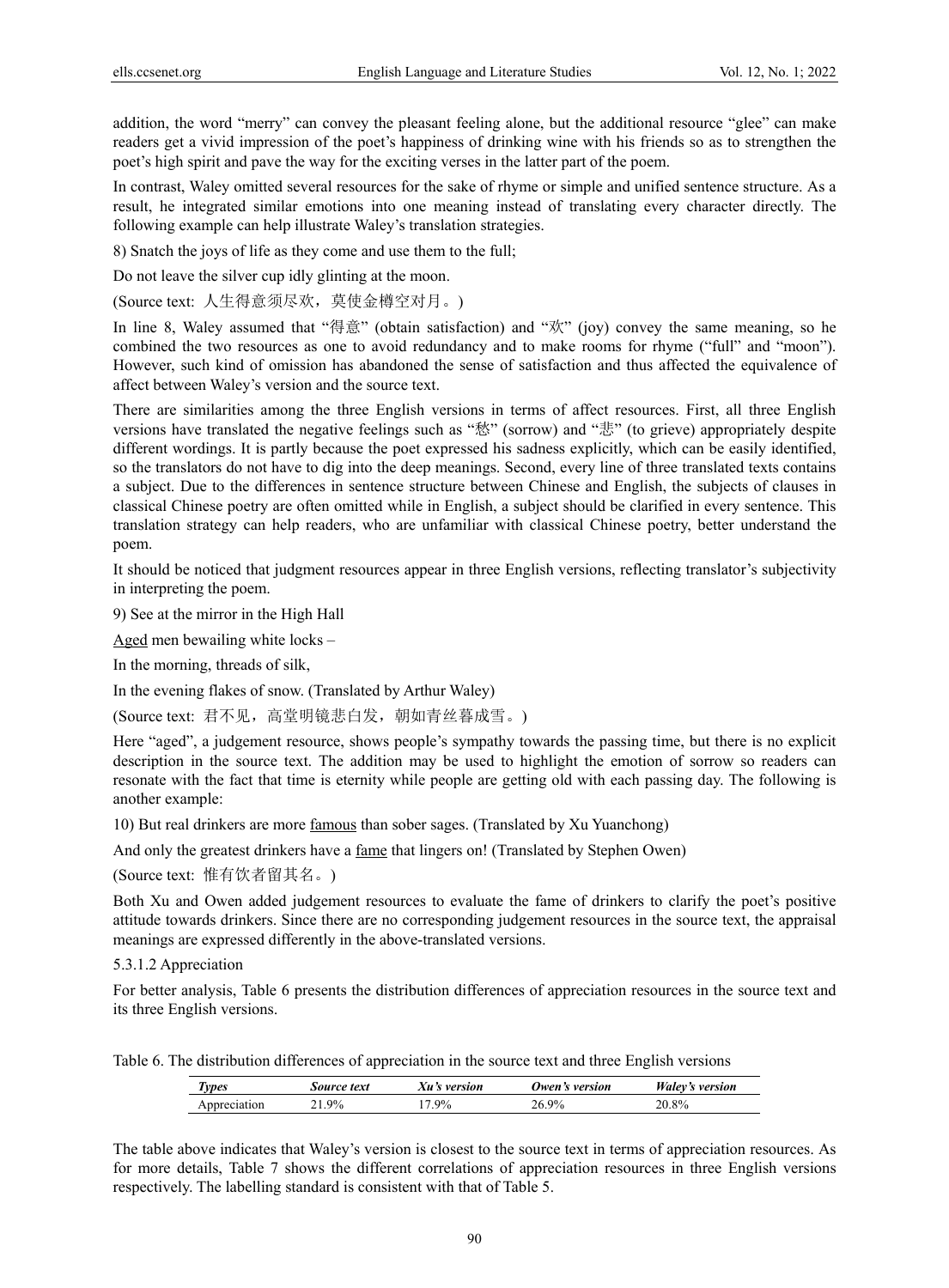addition, the word "merry" can convey the pleasant feeling alone, but the additional resource "glee" can make readers get a vivid impression of the poet's happiness of drinking wine with his friends so as to strengthen the poet's high spirit and pave the way for the exciting verses in the latter part of the poem.

In contrast, Waley omitted several resources for the sake of rhyme or simple and unified sentence structure. As a result, he integrated similar emotions into one meaning instead of translating every character directly. The following example can help illustrate Waley's translation strategies.

8) Snatch the joys of life as they come and use them to the full;

Do not leave the silver cup idly glinting at the moon.

(Source text: 人生得意须尽欢,莫使金樽空对月。)

In line 8, Waley assumed that "得意" (obtain satisfaction) and "欢" (joy) convey the same meaning, so he combined the two resources as one to avoid redundancy and to make rooms for rhyme ("full" and "moon"). However, such kind of omission has abandoned the sense of satisfaction and thus affected the equivalence of affect between Waley's version and the source text.

There are similarities among the three English versions in terms of affect resources. First, all three English versions have translated the negative feelings such as "愁" (sorrow) and "悲" (to grieve) appropriately despite different wordings. It is partly because the poet expressed his sadness explicitly, which can be easily identified, so the translators do not have to dig into the deep meanings. Second, every line of three translated texts contains a subject. Due to the differences in sentence structure between Chinese and English, the subjects of clauses in classical Chinese poetry are often omitted while in English, a subject should be clarified in every sentence. This translation strategy can help readers, who are unfamiliar with classical Chinese poetry, better understand the poem.

It should be noticed that judgment resources appear in three English versions, reflecting translator's subjectivity in interpreting the poem.

9) See at the mirror in the High Hall

Aged men bewailing white locks –

In the morning, threads of silk,

In the evening flakes of snow. (Translated by Arthur Waley)

(Source text: 君不见, 高堂明镜悲白发, 朝如青丝暮成雪。)

Here "aged", a judgement resource, shows people's sympathy towards the passing time, but there is no explicit description in the source text. The addition may be used to highlight the emotion of sorrow so readers can resonate with the fact that time is eternity while people are getting old with each passing day. The following is another example:

10) But real drinkers are more famous than sober sages. (Translated by Xu Yuanchong)

And only the greatest drinkers have a <u>fame</u> that lingers on! (Translated by Stephen Owen)

(Source text: 惟有饮者留其名。)

Both Xu and Owen added judgement resources to evaluate the fame of drinkers to clarify the poet's positive attitude towards drinkers. Since there are no corresponding judgement resources in the source text, the appraisal meanings are expressed differently in the above-translated versions.

5.3.1.2 Appreciation

For better analysis, Table 6 presents the distribution differences of appreciation resources in the source text and its three English versions.

Table 6. The distribution differences of appreciation in the source text and three English versions

| lypes       | Source text | version | version<br>Twen's | $W$ aley's<br>version |
|-------------|-------------|---------|-------------------|-----------------------|
| ppreciation | 9%          | $.9\%$  | $9\%$             | $20.8\%$              |

The table above indicates that Waley's version is closest to the source text in terms of appreciation resources. As for more details, Table 7 shows the different correlations of appreciation resources in three English versions respectively. The labelling standard is consistent with that of Table 5.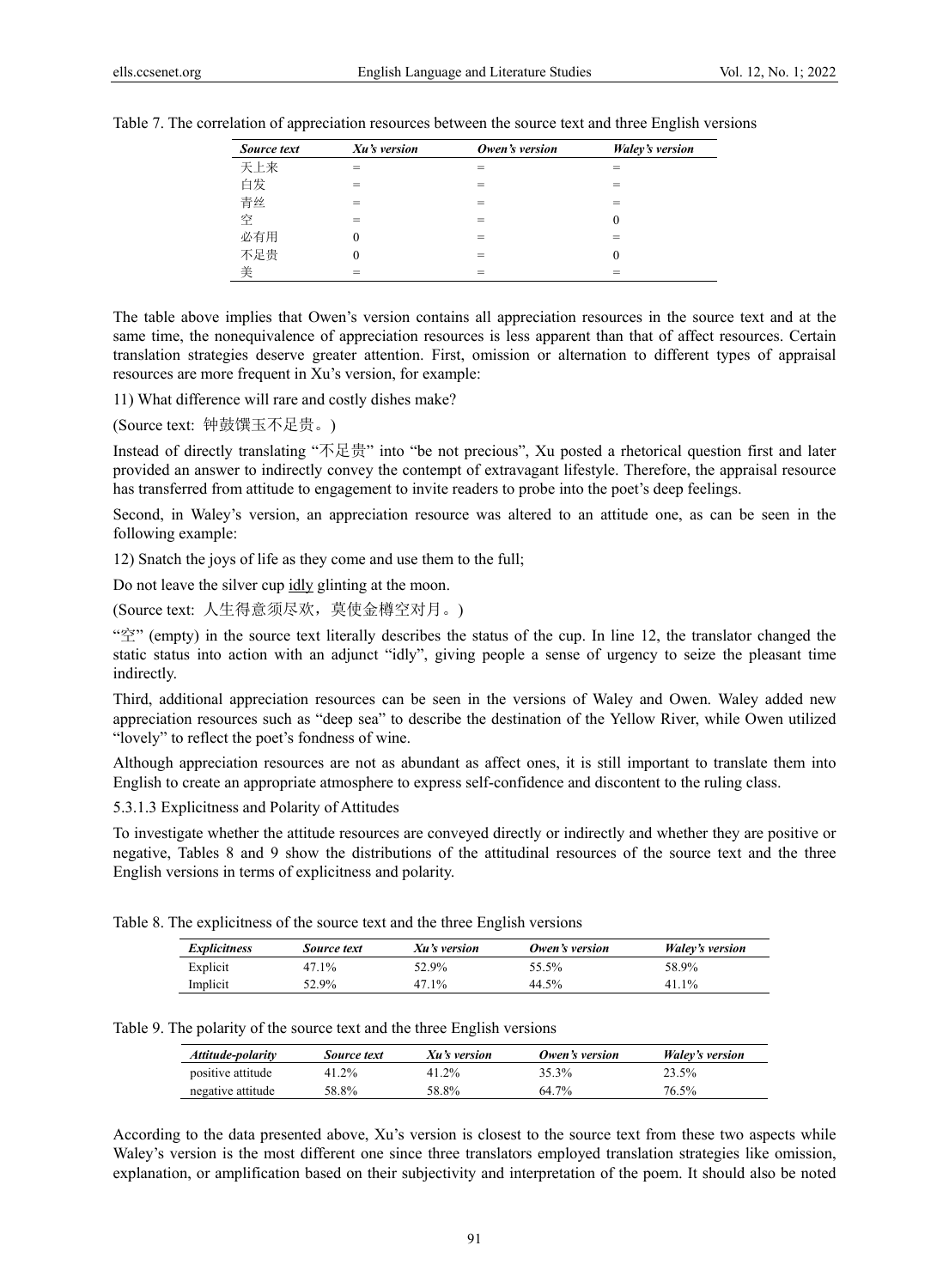| Source text | Xu's version | Owen's version | <b>Waley's version</b> |
|-------------|--------------|----------------|------------------------|
| 天上来         |              |                |                        |
| 白发          |              |                |                        |
| 青丝          |              |                |                        |
| 空           |              |                | 0                      |
| 必有用         |              |                |                        |
| 不足贵         |              |                | 0                      |
| 美           |              |                |                        |

Table 7. The correlation of appreciation resources between the source text and three English versions

The table above implies that Owen's version contains all appreciation resources in the source text and at the same time, the nonequivalence of appreciation resources is less apparent than that of affect resources. Certain translation strategies deserve greater attention. First, omission or alternation to different types of appraisal resources are more frequent in Xu's version, for example:

11) What difference will rare and costly dishes make?

(Source text: 钟鼓馔玉不足贵。)

Instead of directly translating "不足贵" into "be not precious", Xu posted a rhetorical question first and later provided an answer to indirectly convey the contempt of extravagant lifestyle. Therefore, the appraisal resource has transferred from attitude to engagement to invite readers to probe into the poet's deep feelings.

Second, in Waley's version, an appreciation resource was altered to an attitude one, as can be seen in the following example:

12) Snatch the joys of life as they come and use them to the full;

Do not leave the silver cup idly glinting at the moon.

(Source text: 人生得意须尽欢,莫使金樽空对月。)

" $\tilde{\mathcal{Z}}$ " (empty) in the source text literally describes the status of the cup. In line 12, the translator changed the static status into action with an adjunct "idly", giving people a sense of urgency to seize the pleasant time indirectly.

Third, additional appreciation resources can be seen in the versions of Waley and Owen. Waley added new appreciation resources such as "deep sea" to describe the destination of the Yellow River, while Owen utilized "lovely" to reflect the poet's fondness of wine.

Although appreciation resources are not as abundant as affect ones, it is still important to translate them into English to create an appropriate atmosphere to express self-confidence and discontent to the ruling class.

5.3.1.3 Explicitness and Polarity of Attitudes

To investigate whether the attitude resources are conveyed directly or indirectly and whether they are positive or negative, Tables 8 and 9 show the distributions of the attitudinal resources of the source text and the three English versions in terms of explicitness and polarity.

Table 8. The explicitness of the source text and the three English versions

| <i>Explicitness</i> | Source text | Xu's version | Owen's version | Waley's version |
|---------------------|-------------|--------------|----------------|-----------------|
| Explicit            | 47.1%       | 52.9%        | 55.5%          | 58.9%           |
| Implicit            | $52.9\%$    | 47.1%        | 44.5%          | 41 1%           |

Table 9. The polarity of the source text and the three English versions

| Attitude-polarity | Source text | Xu's version | Owen's version | Waley's version |
|-------------------|-------------|--------------|----------------|-----------------|
| positive attitude | 41.2%       | 41.2%        | 35.3%          | 23.5%           |
| negative attitude | 58.8%       | 58.8%        | $64.7\%$       | 76.5%           |

According to the data presented above, Xu's version is closest to the source text from these two aspects while Waley's version is the most different one since three translators employed translation strategies like omission, explanation, or amplification based on their subjectivity and interpretation of the poem. It should also be noted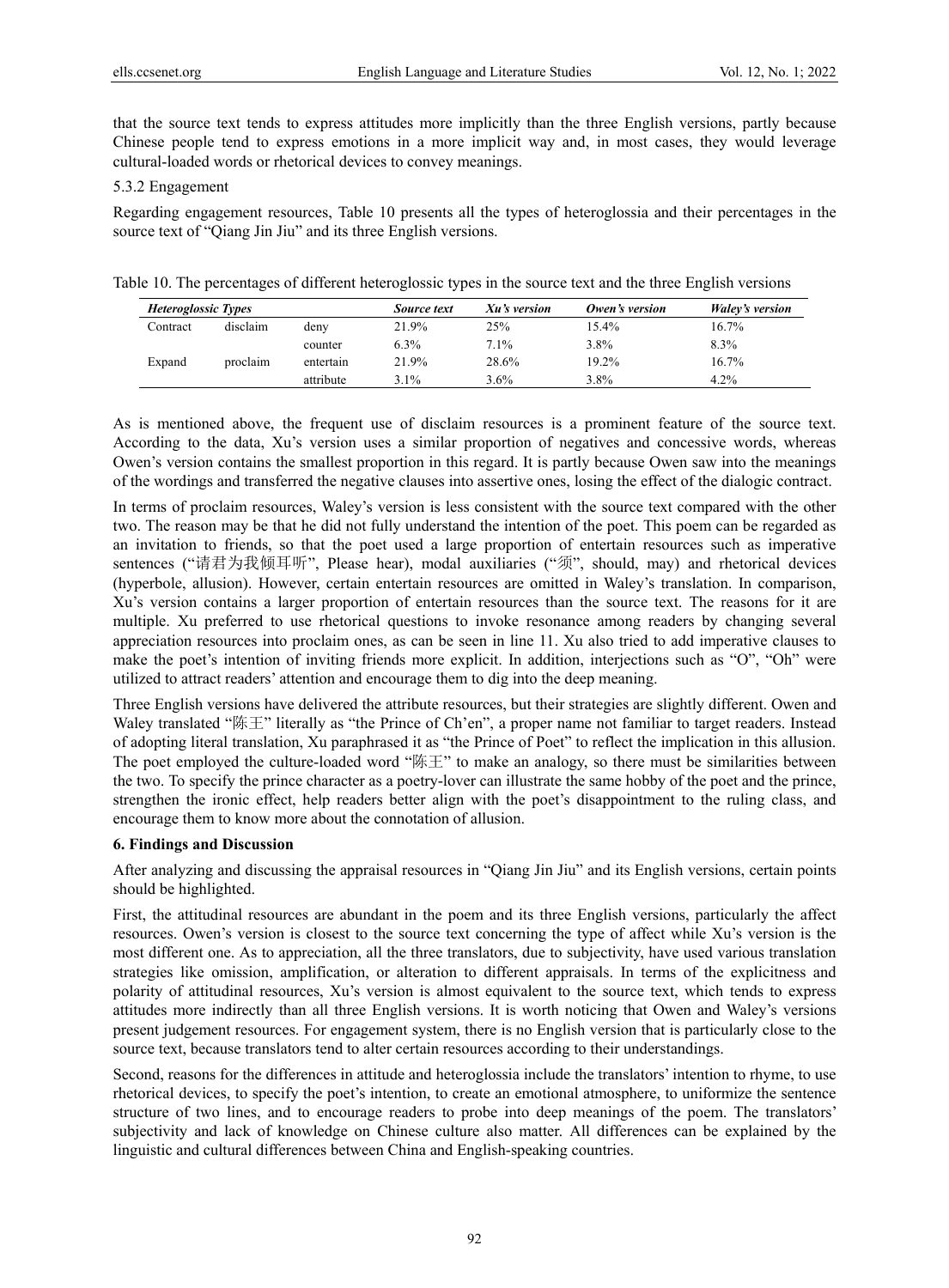that the source text tends to express attitudes more implicitly than the three English versions, partly because Chinese people tend to express emotions in a more implicit way and, in most cases, they would leverage cultural-loaded words or rhetorical devices to convey meanings.

## 5.3.2 Engagement

Regarding engagement resources, Table 10 presents all the types of heteroglossia and their percentages in the source text of "Qiang Jin Jiu" and its three English versions.

Table 10. The percentages of different heteroglossic types in the source text and the three English versions

| <i>Heteroglossic Types</i> |          |           | Source text | Xu's version | Owen's version | Waley's version |
|----------------------------|----------|-----------|-------------|--------------|----------------|-----------------|
| Contract                   | disclaim | deny      | 21.9%       | 25%          | $15.4\%$       | 16.7%           |
|                            |          | counter   | 6.3%        | $7.1\%$      | 3.8%           | 8.3%            |
| Expand                     | proclaim | entertain | 21.9%       | 28.6%        | 19.2%          | 16.7%           |
|                            |          | attribute | $3.1\%$     | $3.6\%$      | 3.8%           | 4.2%            |

As is mentioned above, the frequent use of disclaim resources is a prominent feature of the source text. According to the data, Xu's version uses a similar proportion of negatives and concessive words, whereas Owen's version contains the smallest proportion in this regard. It is partly because Owen saw into the meanings of the wordings and transferred the negative clauses into assertive ones, losing the effect of the dialogic contract.

In terms of proclaim resources, Waley's version is less consistent with the source text compared with the other two. The reason may be that he did not fully understand the intention of the poet. This poem can be regarded as an invitation to friends, so that the poet used a large proportion of entertain resources such as imperative sentences ("请君为我倾耳听", Please hear), modal auxiliaries ("须", should, may) and rhetorical devices (hyperbole, allusion). However, certain entertain resources are omitted in Waley's translation. In comparison, Xu's version contains a larger proportion of entertain resources than the source text. The reasons for it are multiple. Xu preferred to use rhetorical questions to invoke resonance among readers by changing several appreciation resources into proclaim ones, as can be seen in line 11. Xu also tried to add imperative clauses to make the poet's intention of inviting friends more explicit. In addition, interjections such as "O", "Oh" were utilized to attract readers' attention and encourage them to dig into the deep meaning.

Three English versions have delivered the attribute resources, but their strategies are slightly different. Owen and Waley translated "陈王" literally as "the Prince of Ch'en", a proper name not familiar to target readers. Instead of adopting literal translation, Xu paraphrased it as "the Prince of Poet" to reflect the implication in this allusion. The poet employed the culture-loaded word "陈王" to make an analogy, so there must be similarities between the two. To specify the prince character as a poetry-lover can illustrate the same hobby of the poet and the prince, strengthen the ironic effect, help readers better align with the poet's disappointment to the ruling class, and encourage them to know more about the connotation of allusion.

## **6. Findings and Discussion**

After analyzing and discussing the appraisal resources in "Qiang Jin Jiu" and its English versions, certain points should be highlighted.

First, the attitudinal resources are abundant in the poem and its three English versions, particularly the affect resources. Owen's version is closest to the source text concerning the type of affect while Xu's version is the most different one. As to appreciation, all the three translators, due to subjectivity, have used various translation strategies like omission, amplification, or alteration to different appraisals. In terms of the explicitness and polarity of attitudinal resources, Xu's version is almost equivalent to the source text, which tends to express attitudes more indirectly than all three English versions. It is worth noticing that Owen and Waley's versions present judgement resources. For engagement system, there is no English version that is particularly close to the source text, because translators tend to alter certain resources according to their understandings.

Second, reasons for the differences in attitude and heteroglossia include the translators' intention to rhyme, to use rhetorical devices, to specify the poet's intention, to create an emotional atmosphere, to uniformize the sentence structure of two lines, and to encourage readers to probe into deep meanings of the poem. The translators' subjectivity and lack of knowledge on Chinese culture also matter. All differences can be explained by the linguistic and cultural differences between China and English-speaking countries.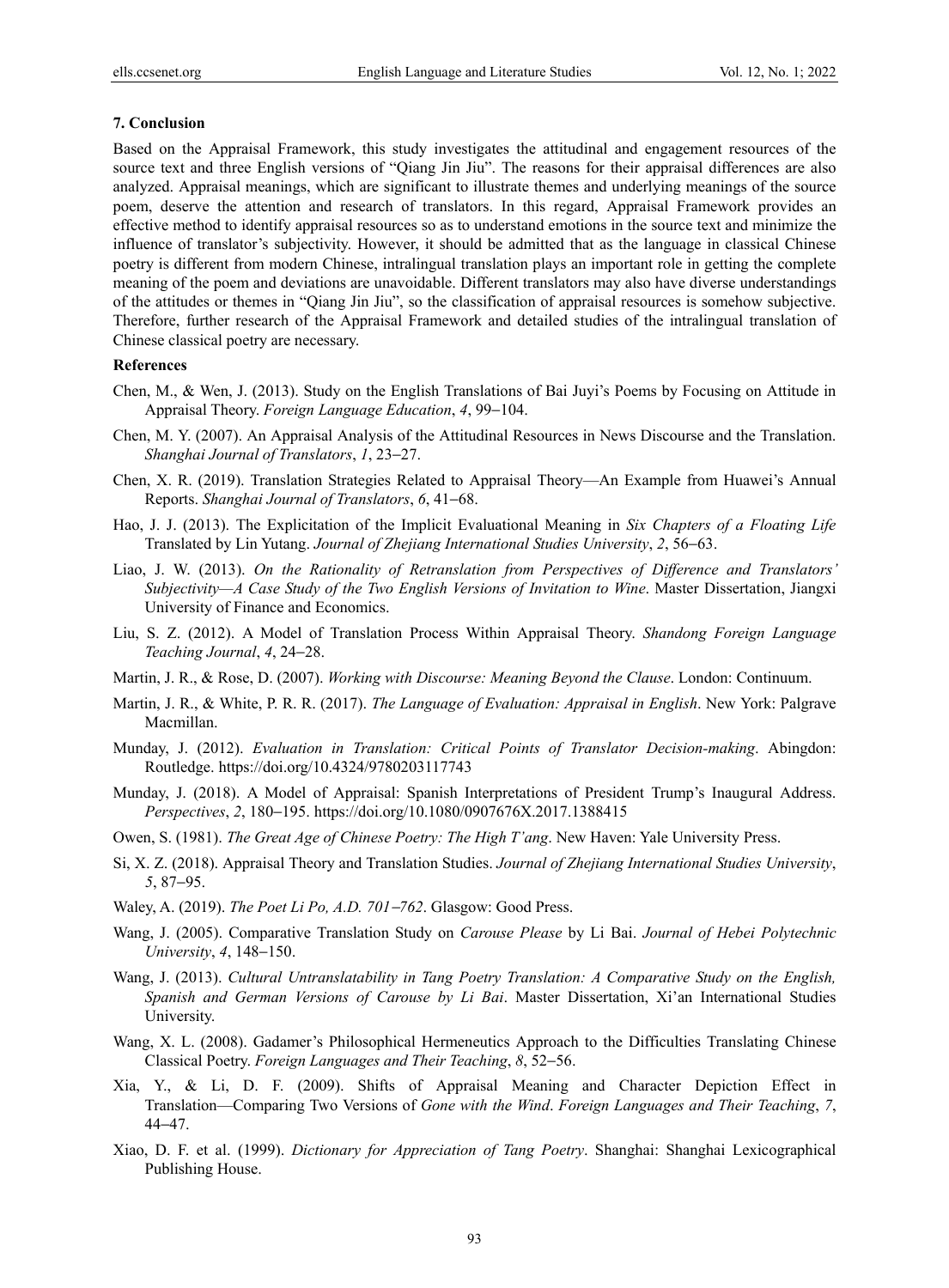#### **7. Conclusion**

Based on the Appraisal Framework, this study investigates the attitudinal and engagement resources of the source text and three English versions of "Qiang Jin Jiu". The reasons for their appraisal differences are also analyzed. Appraisal meanings, which are significant to illustrate themes and underlying meanings of the source poem, deserve the attention and research of translators. In this regard, Appraisal Framework provides an effective method to identify appraisal resources so as to understand emotions in the source text and minimize the influence of translator's subjectivity. However, it should be admitted that as the language in classical Chinese poetry is different from modern Chinese, intralingual translation plays an important role in getting the complete meaning of the poem and deviations are unavoidable. Different translators may also have diverse understandings of the attitudes or themes in "Qiang Jin Jiu", so the classification of appraisal resources is somehow subjective. Therefore, further research of the Appraisal Framework and detailed studies of the intralingual translation of Chinese classical poetry are necessary.

#### **References**

- Chen, M., & Wen, J. (2013). Study on the English Translations of Bai Juyi's Poems by Focusing on Attitude in Appraisal Theory. *Foreign Language Education*, *4*, 99−104.
- Chen, M. Y. (2007). An Appraisal Analysis of the Attitudinal Resources in News Discourse and the Translation. *Shanghai Journal of Translators*, *1*, 23−27.
- Chen, X. R. (2019). Translation Strategies Related to Appraisal Theory—An Example from Huawei's Annual Reports. *Shanghai Journal of Translators*, *6*, 41−68.
- Hao, J. J. (2013). The Explicitation of the Implicit Evaluational Meaning in *Six Chapters of a Floating Life* Translated by Lin Yutang. *Journal of Zhejiang International Studies University*, *2*, 56−63.
- Liao, J. W. (2013). *On the Rationality of Retranslation from Perspectives of Difference and Translators' Subjectivity—A Case Study of the Two English Versions of Invitation to Wine*. Master Dissertation, Jiangxi University of Finance and Economics.
- Liu, S. Z. (2012). A Model of Translation Process Within Appraisal Theory. *Shandong Foreign Language Teaching Journal*, *4*, 24−28.
- Martin, J. R., & Rose, D. (2007). *Working with Discourse: Meaning Beyond the Clause*. London: Continuum.
- Martin, J. R., & White, P. R. R. (2017). *The Language of Evaluation: Appraisal in English*. New York: Palgrave Macmillan.
- Munday, J. (2012). *Evaluation in Translation: Critical Points of Translator Decision-making*. Abingdon: Routledge. https://doi.org/10.4324/9780203117743
- Munday, J. (2018). A Model of Appraisal: Spanish Interpretations of President Trump's Inaugural Address. *Perspectives*, *2*, 180−195. https://doi.org/10.1080/0907676X.2017.1388415
- Owen, S. (1981). *The Great Age of Chinese Poetry: The High T'ang*. New Haven: Yale University Press.
- Si, X. Z. (2018). Appraisal Theory and Translation Studies. *Journal of Zhejiang International Studies University*, *5*, 87−95.
- Waley, A. (2019). *The Poet Li Po, A.D. 701*−*762*. Glasgow: Good Press.
- Wang, J. (2005). Comparative Translation Study on *Carouse Please* by Li Bai. *Journal of Hebei Polytechnic University*, *4*, 148−150.
- Wang, J. (2013). *Cultural Untranslatability in Tang Poetry Translation: A Comparative Study on the English, Spanish and German Versions of Carouse by Li Bai*. Master Dissertation, Xi'an International Studies University.
- Wang, X. L. (2008). Gadamer's Philosophical Hermeneutics Approach to the Difficulties Translating Chinese Classical Poetry. *Foreign Languages and Their Teaching*, *8*, 52−56.
- Xia, Y., & Li, D. F. (2009). Shifts of Appraisal Meaning and Character Depiction Effect in Translation—Comparing Two Versions of *Gone with the Wind*. *Foreign Languages and Their Teaching*, *7*, 44−47.
- Xiao, D. F. et al. (1999). *Dictionary for Appreciation of Tang Poetry*. Shanghai: Shanghai Lexicographical Publishing House.